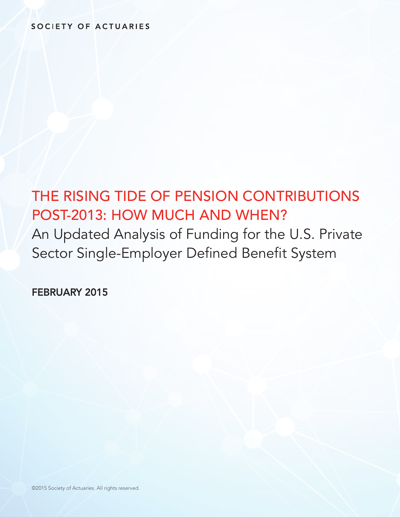# SOCIETY OF ACTUARIES

# THE RISING TIDE OF PENSION CONTRIBUTIONS POST-2013: HOW MUCH AND WHEN?

An Updated Analysis of Funding for the U.S. Private Sector Single-Employer Defined Benefit System

FEBRUARY 2015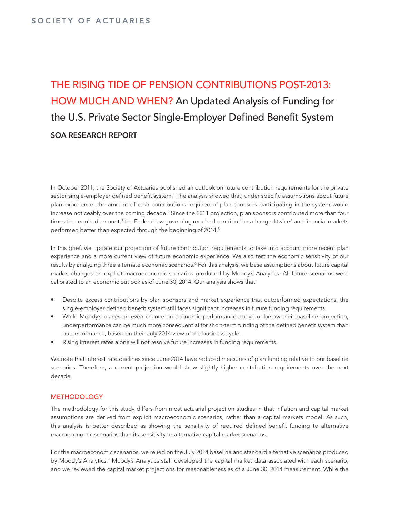# THE RISING TIDE OF PENSION CONTRIBUTIONS POST-2013: HOW MUCH AND WHEN? An Updated Analysis of Funding for the U.S. Private Sector Single-Employer Defined Benefit System SOA RESEARCH REPORT

In October 2011, the Society of Actuaries published an outlook on future contribution requirements for the private sector single-employer defined benefit system.<sup>1</sup> The analysis showed that, under specific assumptions about future plan experience, the amount of cash contributions required of plan sponsors participating in the system would increase noticeably over the coming decade.<sup>2</sup> Since the 2011 projection, plan sponsors contributed more than four times the required amount, $^3$  the Federal law governing required contributions changed twice $^4$  and financial markets performed better than expected through the beginning of 2014.<sup>5</sup>

In this brief, we update our projection of future contribution requirements to take into account more recent plan experience and a more current view of future economic experience. We also test the economic sensitivity of our results by analyzing three alternate economic scenarios.<sup>6</sup> For this analysis, we base assumptions about future capital market changes on explicit macroeconomic scenarios produced by Moody's Analytics. All future scenarios were calibrated to an economic outlook as of June 30, 2014. Our analysis shows that:

- Despite excess contributions by plan sponsors and market experience that outperformed expectations, the single-employer defined benefit system still faces significant increases in future funding requirements.
- While Moody's places an even chance on economic performance above or below their baseline projection, underperformance can be much more consequential for short-term funding of the defined benefit system than outperformance, based on their July 2014 view of the business cycle.
- Rising interest rates alone will not resolve future increases in funding requirements.

We note that interest rate declines since June 2014 have reduced measures of plan funding relative to our baseline scenarios. Therefore, a current projection would show slightly higher contribution requirements over the next decade.

### METHODOLOGY

The methodology for this study differs from most actuarial projection studies in that inflation and capital market assumptions are derived from explicit macroeconomic scenarios, rather than a capital markets model. As such, this analysis is better described as showing the sensitivity of required defined benefit funding to alternative macroeconomic scenarios than its sensitivity to alternative capital market scenarios.

For the macroeconomic scenarios, we relied on the July 2014 baseline and standard alternative scenarios produced by Moody's Analytics.<sup>7</sup> Moody's Analytics staff developed the capital market data associated with each scenario, and we reviewed the capital market projections for reasonableness as of a June 30, 2014 measurement. While the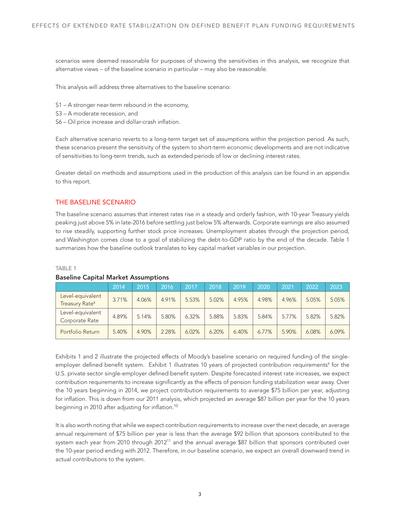scenarios were deemed reasonable for purposes of showing the sensitivities in this analysis, we recognize that alternative views – of the baseline scenario in particular – may also be reasonable.

This analysis will address three alternatives to the baseline scenario:

- S1 A stronger near-term rebound in the economy,
- S3 A moderate recession, and
- S6 Oil price increase and dollar-crash inflation.

Each alternative scenario reverts to a long-term target set of assumptions within the projection period. As such, these scenarios present the sensitivity of the system to short-term economic developments and are not indicative of sensitivities to long-term trends, such as extended periods of low or declining interest rates.

Greater detail on methods and assumptions used in the production of this analysis can be found in an appendix to this report.

#### THE BASELINE SCENARIO

The baseline scenario assumes that interest rates rise in a steady and orderly fashion, with 10-year Treasury yields peaking just above 5% in late-2016 before settling just below 5% afterwards. Corporate earnings are also assumed to rise steadily, supporting further stock price increases. Unemployment abates through the projection period, and Washington comes close to a goal of stabilizing the debt-to-GDP ratio by the end of the decade. Table 1 summarizes how the baseline outlook translates to key capital market variables in our projection.

#### TABLE 1

|                                                | 2014  | 2015  | 2016  | 2017  | 2018  | 2019  | 2020     | 2021  | 2022  | 2023  |
|------------------------------------------------|-------|-------|-------|-------|-------|-------|----------|-------|-------|-------|
| Level-equivalent<br>Treasury Rate <sup>8</sup> | 3.71% | 4.06% | 4.91% | 5.53% | 5.02% | 4.95% | 4.98%    | 4.96% | 5.05% | 5.05% |
| Level-equivalent<br>Corporate Rate             | 4.89% | 5.14% | 5.80% | 6.32% | 5.88% | 5.83% | 5.84%    | 5.77% | 5.82% | 5.82% |
| Portfolio Return                               | 5.40% | 4.90% | 2.28% | 6.02% | 6.20% | 6.40% | $6.77\%$ | 5.90% | 6.08% | 6.09% |

#### Baseline Capital Market Assumptions

Exhibits 1 and 2 illustrate the projected effects of Moody's baseline scenario on required funding of the singleemployer defined benefit system. Exhibit 1 illustrates 10 years of projected contribution requirements<sup>9</sup> for the U.S. private sector single-employer defined benefit system. Despite forecasted interest rate increases, we expect contribution requirements to increase significantly as the effects of pension funding stabilization wear away. Over the 10 years beginning in 2014, we project contribution requirements to average \$75 billion per year, adjusting for inflation. This is down from our 2011 analysis, which projected an average \$87 billion per year for the 10 years beginning in 2010 after adjusting for inflation.<sup>10</sup>

It is also worth noting that while we expect contribution requirements to increase over the next decade, an average annual requirement of \$75 billion per year is less than the average \$92 billion that sponsors contributed to the system each year from 2010 through 2012<sup>11</sup> and the annual average \$87 billion that sponsors contributed over the 10-year period ending with 2012. Therefore, in our baseline scenario, we expect an overall downward trend in actual contributions to the system.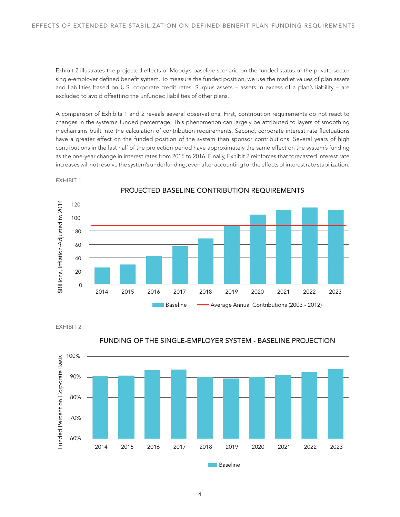Exhibit 2 illustrates the projected effects of Moody's baseline scenario on the funded status of the private sector single-employer defined benefit system. To measure the funded position, we use the market values of plan assets and liabilities based on U.S. corporate credit rates. Surplus assets – assets in excess of a plan's liability – are excluded to avoid offsetting the unfunded liabilities of other plans.

A comparison of Exhibits 1 and 2 reveals several observations. First, contribution requirements do not react to changes in the system's funded percentage. This phenomenon can largely be attributed to layers of smoothing mechanisms built into the calculation of contribution requirements. Second, corporate interest rate fluctuations have a greater effect on the funded position of the system than sponsor contributions. Several years of high contributions in the last half of the projection period have approximately the same effect on the system's funding as the one-year change in interest rates from 2015 to 2016. Finally, Exhibit 2 reinforces that forecasted interest rate increases will not resolve the system's underfunding, even after accounting for the effects of interest rate stabilization.



EXHIBIT 1

PROJECTED BASELINE CONTRIBUTION REQUIREMENTS

EXHIBIT 2



FUNDING OF THE SINGLE-EMPLOYER SYSTEM - BASELINE PROJECTION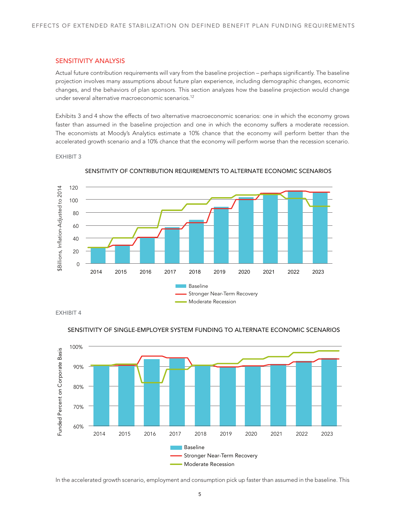#### SENSITIVITY ANALYSIS

Actual future contribution requirements will vary from the baseline projection – perhaps significantly. The baseline projection involves many assumptions about future plan experience, including demographic changes, economic changes, and the behaviors of plan sponsors. This section analyzes how the baseline projection would change under several alternative macroeconomic scenarios.<sup>12</sup>

Exhibits 3 and 4 show the effects of two alternative macroeconomic scenarios: one in which the economy grows faster than assumed in the baseline projection and one in which the economy suffers a moderate recession. The economists at Moody's Analytics estimate a 10% chance that the economy will perform better than the accelerated growth scenario and a 10% chance that the economy will perform worse than the recession scenario.

#### EXHIBIT 3



SENSITIVITY OF CONTRIBUTION REQUIREMENTS TO ALTERNATE ECONOMIC SCENARIOS

EXHIBIT 4



#### SENSITIVITY OF SINGLE-EMPLOYER SYSTEM FUNDING TO ALTERNATE ECONOMIC SCENARIOS

In the accelerated growth scenario, employment and consumption pick up faster than assumed in the baseline. This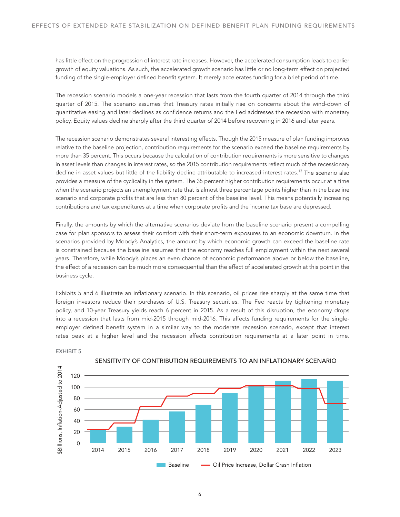has little effect on the progression of interest rate increases. However, the accelerated consumption leads to earlier growth of equity valuations. As such, the accelerated growth scenario has little or no long-term effect on projected funding of the single-employer defined benefit system. It merely accelerates funding for a brief period of time.

The recession scenario models a one-year recession that lasts from the fourth quarter of 2014 through the third quarter of 2015. The scenario assumes that Treasury rates initially rise on concerns about the wind-down of quantitative easing and later declines as confidence returns and the Fed addresses the recession with monetary policy. Equity values decline sharply after the third quarter of 2014 before recovering in 2016 and later years.

The recession scenario demonstrates several interesting effects. Though the 2015 measure of plan funding improves relative to the baseline projection, contribution requirements for the scenario exceed the baseline requirements by more than 35 percent. This occurs because the calculation of contribution requirements is more sensitive to changes in asset levels than changes in interest rates, so the 2015 contribution requirements reflect much of the recessionary decline in asset values but little of the liability decline attributable to increased interest rates.<sup>13</sup> The scenario also provides a measure of the cyclicality in the system. The 35 percent higher contribution requirements occur at a time when the scenario projects an unemployment rate that is almost three percentage points higher than in the baseline scenario and corporate profits that are less than 80 percent of the baseline level. This means potentially increasing contributions and tax expenditures at a time when corporate profits and the income tax base are depressed.

Finally, the amounts by which the alternative scenarios deviate from the baseline scenario present a compelling case for plan sponsors to assess their comfort with their short-term exposures to an economic downturn. In the scenarios provided by Moody's Analytics, the amount by which economic growth can exceed the baseline rate is constrained because the baseline assumes that the economy reaches full employment within the next several years. Therefore, while Moody's places an even chance of economic performance above or below the baseline, the effect of a recession can be much more consequential than the effect of accelerated growth at this point in the business cycle.

Exhibits 5 and 6 illustrate an inflationary scenario. In this scenario, oil prices rise sharply at the same time that foreign investors reduce their purchases of U.S. Treasury securities. The Fed reacts by tightening monetary policy, and 10-year Treasury yields reach 6 percent in 2015. As a result of this disruption, the economy drops into a recession that lasts from mid-2015 through mid-2016. This affects funding requirements for the singleemployer defined benefit system in a similar way to the moderate recession scenario, except that interest rates peak at a higher level and the recession affects contribution requirements at a later point in time.





#### SENSITIVITY OF CONTRIBUTION REQUIREMENTS TO AN INFLATIONARY SCENARIO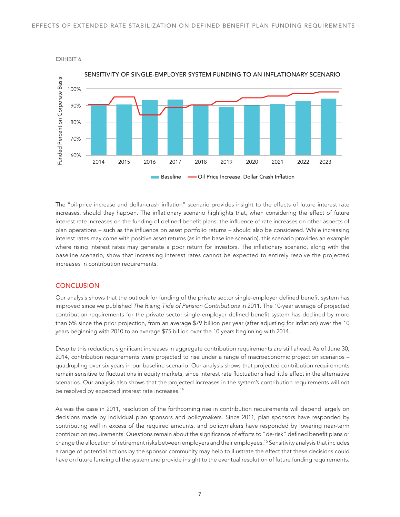

EXHIBIT 6

The "oil-price increase and dollar-crash inflation" scenario provides insight to the effects of future interest rate increases, should they happen. The inflationary scenario highlights that, when considering the effect of future interest rate increases on the funding of defined benefit plans, the influence of rate increases on other aspects of plan operations – such as the influence on asset portfolio returns – should also be considered. While increasing interest rates may come with positive asset returns (as in the baseline scenario), this scenario provides an example where rising interest rates may generate a poor return for investors. The inflationary scenario, along with the baseline scenario, show that increasing interest rates cannot be expected to entirely resolve the projected increases in contribution requirements.

### **CONCLUSION**

Our analysis shows that the outlook for funding of the private sector single-employer defined benefit system has improved since we published *The Rising Tide of Pension Contributions* in 2011. The 10-year average of projected contribution requirements for the private sector single-employer defined benefit system has declined by more than 5% since the prior projection, from an average \$79 billion per year (after adjusting for inflation) over the 10 years beginning with 2010 to an average \$75 billion over the 10 years beginning with 2014.

Despite this reduction, significant increases in aggregate contribution requirements are still ahead. As of June 30, 2014, contribution requirements were projected to rise under a range of macroeconomic projection scenarios – quadrupling over six years in our baseline scenario. Our analysis shows that projected contribution requirements remain sensitive to fluctuations in equity markets, since interest rate fluctuations had little effect in the alternative scenarios. Our analysis also shows that the projected increases in the system's contribution requirements will not be resolved by expected interest rate increases.<sup>14</sup>

As was the case in 2011, resolution of the forthcoming rise in contribution requirements will depend largely on decisions made by individual plan sponsors and policymakers. Since 2011, plan sponsors have responded by contributing well in excess of the required amounts, and policymakers have responded by lowering near-term contribution requirements. Questions remain about the significance of efforts to "de-risk" defined benefit plans or change the allocation of retirement risks between employers and their employees.15 Sensitivity analysis that includes a range of potential actions by the sponsor community may help to illustrate the effect that these decisions could have on future funding of the system and provide insight to the eventual resolution of future funding requirements.

7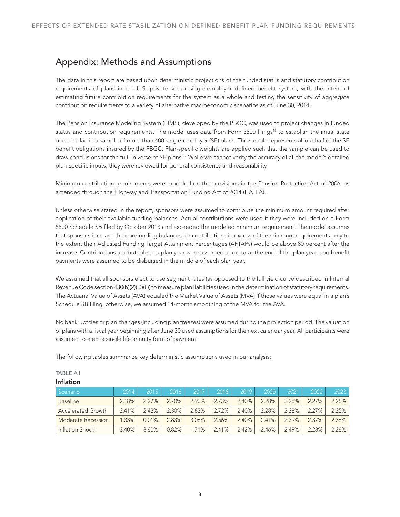# Appendix: Methods and Assumptions

The data in this report are based upon deterministic projections of the funded status and statutory contribution requirements of plans in the U.S. private sector single-employer defined benefit system, with the intent of estimating future contribution requirements for the system as a whole and testing the sensitivity of aggregate contribution requirements to a variety of alternative macroeconomic scenarios as of June 30, 2014.

The Pension Insurance Modeling System (PIMS), developed by the PBGC, was used to project changes in funded status and contribution requirements. The model uses data from Form 5500 filings<sup>16</sup> to establish the initial state of each plan in a sample of more than 400 single-employer (SE) plans. The sample represents about half of the SE benefit obligations insured by the PBGC. Plan-specific weights are applied such that the sample can be used to draw conclusions for the full universe of SE plans.17 While we cannot verify the accuracy of all the model's detailed plan-specific inputs, they were reviewed for general consistency and reasonability.

Minimum contribution requirements were modeled on the provisions in the Pension Protection Act of 2006, as amended through the Highway and Transportation Funding Act of 2014 (HATFA).

Unless otherwise stated in the report, sponsors were assumed to contribute the minimum amount required after application of their available funding balances. Actual contributions were used if they were included on a Form 5500 Schedule SB filed by October 2013 and exceeded the modeled minimum requirement. The model assumes that sponsors increase their prefunding balances for contributions in excess of the minimum requirements only to the extent their Adjusted Funding Target Attainment Percentages (AFTAPs) would be above 80 percent after the increase. Contributions attributable to a plan year were assumed to occur at the end of the plan year, and benefit payments were assumed to be disbursed in the middle of each plan year.

We assumed that all sponsors elect to use segment rates (as opposed to the full yield curve described in Internal Revenue Code section 430(h)(2)(D)(ii)) to measure plan liabilities used in the determination of statutory requirements. The Actuarial Value of Assets (AVA) equaled the Market Value of Assets (MVA) if those values were equal in a plan's Schedule SB filing; otherwise, we assumed 24-month smoothing of the MVA for the AVA.

No bankruptcies or plan changes (including plan freezes) were assumed during the projection period. The valuation of plans with a fiscal year beginning after June 30 used assumptions for the next calendar year. All participants were assumed to elect a single life annuity form of payment.

The following tables summarize key deterministic assumptions used in our analysis:

| Scenario                  | 2014  | 2015. | 2016  | 2017  | 2018  | 2019  | 2020  | 2021  | 2022  | 2023  |
|---------------------------|-------|-------|-------|-------|-------|-------|-------|-------|-------|-------|
| <b>Baseline</b>           | 2.18% | 227%  | 2.70% | 2.90% | 2.73% | 2.40% | 2.28% | 2.28% | 2.27% | 2.25% |
| <b>Accelerated Growth</b> | 2.41% | 2.43% | 2.30% | 2.83% | 2.72% | 2.40% | 2.28% | 2.28% | 2.27% | 2.25% |
| Moderate Recession        | 1.33% | 0.01% | 2.83% | 3.06% | 2.56% | 2.40% | 241%  | 2.39% | 2.37% | 2.36% |
| Inflation Shock           | 3.40% | 3.60% | 0.82% | 1.71% | 2.41% | 2.42% | 2.46% | 2.49% | 2.28% | 2.26% |

# TABLE A1

#### Inflation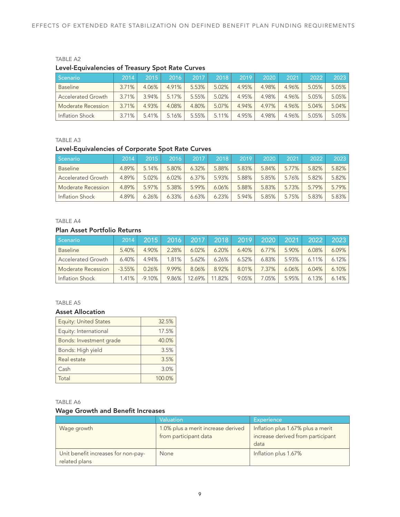## TABLE A2 Level-Equivalencies of Treasury Spot Rate Curves

| l Scenario                | 2014  | 2015  | 2016  | 2017  | 2018  | 2019  | 2020  | 2021  | 2022  | 2023     |
|---------------------------|-------|-------|-------|-------|-------|-------|-------|-------|-------|----------|
| <b>Baseline</b>           | 3.71% | 4.06% | 4.91% | 5.53% | 5.02% | 4.95% | 4.98% | 4.96% | 5.05% | $5.05\%$ |
| <b>Accelerated Growth</b> | 3.71% | 3.94% | 5.17% | 5.55% | 5.02% | 4.95% | 4.98% | 4.96% | 5.05% | 5.05%    |
| Moderate Recession        | 3.71% | 4.93% | 4.08% | 4.80% | 5.07% | 4.94% | 4.97% | 4.96% | 5.04% | $5.04\%$ |
| Inflation Shock           | 3.71% | 5.41% | 5.16% | 5.55% | 5.11% | 4.95% | 4.98% | 4.96% | 5.05% | $5.05\%$ |

#### TABLE A3

# Level-Equivalencies of Corporate Spot Rate Curves

| Scenario                  | 2014  | 2015  | 2016  | 2017     | 2018  | 2019  | 2020  | 2021  | 2022  | 2023  |
|---------------------------|-------|-------|-------|----------|-------|-------|-------|-------|-------|-------|
| <b>Baseline</b>           | 4.89% | 5.14% | 5.80% | 6.32%    | 5.88% | 5.83% | 5.84% | 5.77% | 5.82% | 5.82% |
| <b>Accelerated Growth</b> | 4.89% | 5.02% | 6.02% | $6.37\%$ | 5.93% | 5.88% | 5.85% | 5.76% | 5.82% | 5.82% |
| Moderate Recession        | 4.89% | 5.97% | 5.38% | 5.99%    | 6.06% | 5.88% | 5.83% | 5.73% | 5.79% | 5.79% |
| Inflation Shock           | 4.89% | 6.26% | 6.33% | 6.63%    | 6.23% | 5.94% | 5.85% | 5.75% | 5.83% | 5.83% |

#### TABLE A4

# Plan Asset Portfolio Returns

| Scenario                  | 2014     | 2015     | 2016  | 2017   | 2018   | 2019  | 2020     | 2021  | 2022  | 2023     |
|---------------------------|----------|----------|-------|--------|--------|-------|----------|-------|-------|----------|
| <b>Baseline</b>           | 5.40%    | 4.90%    | 2.28% | 6.02%  | 6.20%  | 6.40% | $6.77\%$ | 5.90% | 6.08% | $6.09\%$ |
| <b>Accelerated Growth</b> | 6.40%    | 4.94%    | 1.81% | 5.62%  | 6.26%  | 6.52% | 6.83%    | 5.93% | 6.11% | 6.12%    |
| Moderate Recession        | $-3.55%$ | 0.26%    | 9.99% | 8.06%  | 8.92%  | 8.01% | 7.37%    | 6.06% | 6.04% | 6.10%    |
| Inflation Shock           | 1.41%    | $-9.10%$ | 9.86% | 12.69% | 11.82% | 9.05% | .05%     | 5.95% | 6.13% | 6.14%    |

# TABLE A5

#### Asset Allocation

| <b>Equity: United States</b> | 32.5%  |
|------------------------------|--------|
| Equity: International        | 17.5%  |
| Bonds: Investment grade      | 40.0%  |
| Bonds: High yield            | 3.5%   |
| Real estate                  | 3.5%   |
| Cash                         | 3.0%   |
| Total                        | 100.0% |

#### TABLE A6

## Wage Growth and Benefit Increases

|                                                      | <b>Valuation</b>                                            | <b>Experience</b>                                                              |
|------------------------------------------------------|-------------------------------------------------------------|--------------------------------------------------------------------------------|
| Wage growth                                          | 1.0% plus a merit increase derived<br>from participant data | Inflation plus 1.67% plus a merit<br>increase derived from participant<br>data |
| Unit benefit increases for non-pay-<br>related plans | None                                                        | Inflation plus 1.67%                                                           |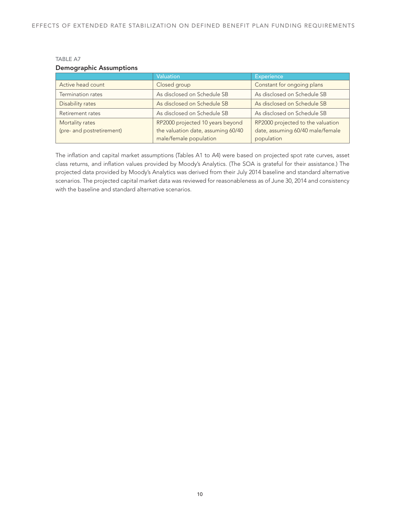## TABLE A7 Demographic Assumptions

|                           | <b>Valuation</b>                   | <b>Experience</b>                 |
|---------------------------|------------------------------------|-----------------------------------|
| Active head count         | Closed group                       | Constant for ongoing plans        |
| Termination rates         | As disclosed on Schedule SB        | As disclosed on Schedule SB       |
| Disability rates          | As disclosed on Schedule SB        | As disclosed on Schedule SB       |
| Retirement rates          | As disclosed on Schedule SB        | As disclosed on Schedule SB       |
| Mortality rates           | RP2000 projected 10 years beyond   | RP2000 projected to the valuation |
| (pre- and postretirement) | the valuation date, assuming 60/40 | date, assuming 60/40 male/female  |
|                           | male/female population             | population                        |

The inflation and capital market assumptions (Tables A1 to A4) were based on projected spot rate curves, asset class returns, and inflation values provided by Moody's Analytics. (The SOA is grateful for their assistance.) The projected data provided by Moody's Analytics was derived from their July 2014 baseline and standard alternative scenarios. The projected capital market data was reviewed for reasonableness as of June 30, 2014 and consistency with the baseline and standard alternative scenarios.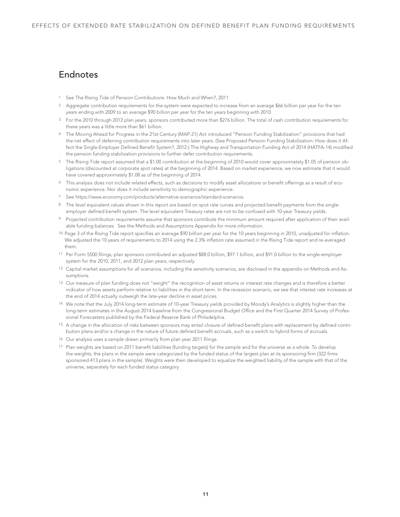# Endnotes

- 1 See The Rising Tide of Pension Contributions: How Much and When?, 2011
- <sup>2</sup> Aggregate contribution requirements for the system were expected to increase from an average \$66 billion per year for the ten years ending with 2009 to an average \$90 billion per year for the ten years beginning with 2010.
- 3 For the 2010 through 2012 plan years, sponsors contributed more than \$276 billion. The total of cash contribution requirements for these years was a little more than \$61 billion.
- 4 The Moving Ahead for Progress in the 21st Century (MAP-21) Act introduced "Pension Funding Stabilization" provisions that had the net effect of deferring contribution requirements into later years. (See Proposed Pension Funding Stabilization: How does it Affect the Single-Employer Defined Benefit System?, 2012.) The Highway and Transportation Funding Act of 2014 (HATFA-14) modified the pension funding stabilization provisions to further defer contribution requirements.
- 5 The Rising Tide report assumed that a \$1.00 contribution at the beginning of 2010 would cover approximately \$1.05 of pension obligations (discounted at corporate spot rates) at the beginning of 2014. Based on market experience, we now estimate that it would have covered approximately \$1.08 as of the beginning of 2014.
- 6 This analysis does not include related effects, such as decisions to modify asset allocations or benefit offerings as a result of economic experience. Nor does it include sensitivity to demographic experience.
- 7 See https://www.economy.com/products/alternative-scenarios/standard-scenarios.
- 8 The level equivalent values shown in this report are based on spot rate curves and projected benefit payments from the singleemployer defined benefit system. The level equivalent Treasury rates are not to be confused with 10-year Treasury yields.
- 9 Projected contribution requirements assume that sponsors contribute the minimum amount required after application of their available funding balances. See the Methods and Assumptions Appendix for more information.
- 10 Page 3 of the Rising Tide report specifies an average \$90 billion per year for the 10 years beginning in 2010, unadjusted for inflation. We adjusted the 10 years of requirements to 2014 using the 2.3% inflation rate assumed in the Rising Tide report and re-averaged them.
- 11 Per Form 5500 filings, plan sponsors contributed an adjusted \$88.0 billion, \$97.1 billion, and \$91.0 billion to the single-employer system for the 2010, 2011, and 2012 plan years, respectively.
- 12 Capital market assumptions for all scenarios, including the sensitivity scenarios, are disclosed in the appendix on Methods and Assumptions.
- 13 Our measure of plan funding does not "weight" the recognition of asset returns or interest rate changes and is therefore a better indicator of how assets perform relative to liabilities in the short-term. In the recession scenario, we see that interest rate increases at the end of 2014 actually outweigh the late-year decline in asset prices.
- 14 We note that the July 2014 long-term estimate of 10-year Treasury yields provided by Moody's Analytics is slightly higher than the long-term estimates in the August 2014 baseline from the Congressional Budget Office and the First Quarter 2014 Survey of Professional Forecasters published by the Federal Reserve Bank of Philadelphia.
- 15 A change in the allocation of risks between sponsors may entail closure of defined benefit plans with replacement by defined contribution plans and/or a change in the nature of future defined benefit accruals, such as a switch to hybrid forms of accruals.
- 16 Our analysis uses a sample drawn primarily from plan year 2011 filings.
- 17 Plan weights are based on 2011 benefit liabilities (funding targets) for the sample and for the universe as a whole. To develop the weights, the plans in the sample were categorized by the funded status of the largest plan at its sponsoring firm (322 firms sponsored 413 plans in the sample). Weights were then developed to equalize the weighted liability of the sample with that of the universe, separately for each funded status category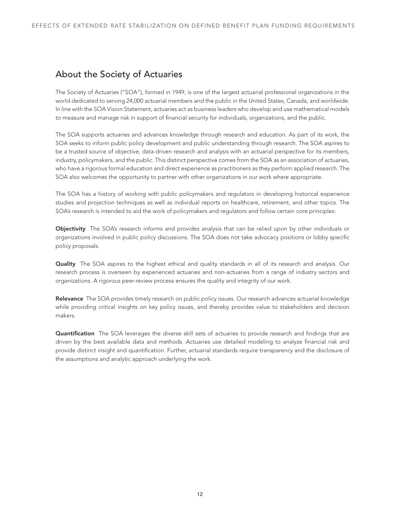# About the Society of Actuaries

The Society of Actuaries ("SOA"), formed in 1949, is one of the largest actuarial professional organizations in the world dedicated to serving 24,000 actuarial members and the public in the United States, Canada, and worldwide. In line with the SOA Vision Statement, actuaries act as business leaders who develop and use mathematical models to measure and manage risk in support of financial security for individuals, organizations, and the public.

The SOA supports actuaries and advances knowledge through research and education. As part of its work, the SOA seeks to inform public policy development and public understanding through research. The SOA aspires to be a trusted source of objective, data-driven research and analysis with an actuarial perspective for its members, industry, policymakers, and the public. This distinct perspective comes from the SOA as an association of actuaries, who have a rigorous formal education and direct experience as practitioners as they perform applied research. The SOA also welcomes the opportunity to partner with other organizations in our work where appropriate.

The SOA has a history of working with public policymakers and regulators in developing historical experience studies and projection techniques as well as individual reports on healthcare, retirement, and other topics. The SOA's research is intended to aid the work of policymakers and regulators and follow certain core principles:

Objectivity The SOA's research informs and provides analysis that can be relied upon by other individuals or organizations involved in public policy discussions. The SOA does not take advocacy positions or lobby specific policy proposals.

Quality The SOA aspires to the highest ethical and quality standards in all of its research and analysis. Our research process is overseen by experienced actuaries and non-actuaries from a range of industry sectors and organizations. A rigorous peer-review process ensures the quality and integrity of our work.

Relevance The SOA provides timely research on public policy issues. Our research advances actuarial knowledge while providing critical insights on key policy issues, and thereby provides value to stakeholders and decision makers.

Quantification The SOA leverages the diverse skill sets of actuaries to provide research and findings that are driven by the best available data and methods. Actuaries use detailed modeling to analyze financial risk and provide distinct insight and quantification. Further, actuarial standards require transparency and the disclosure of the assumptions and analytic approach underlying the work.